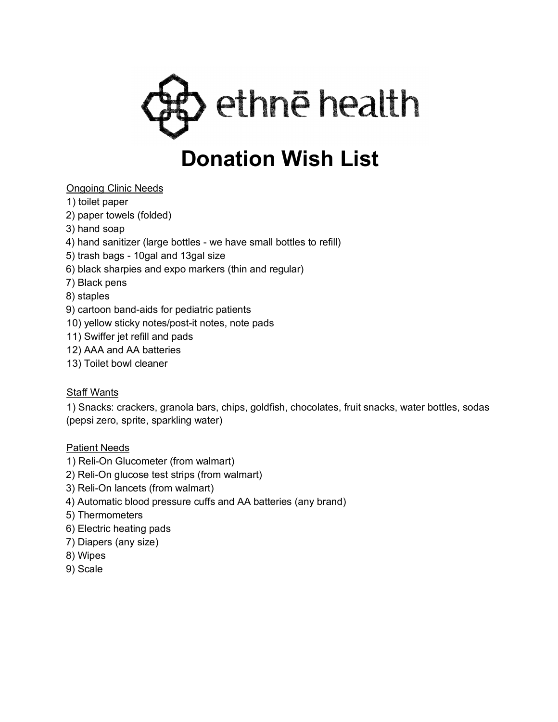

# Ongoing Clinic Needs

- 1) toilet paper
- 2) paper towels (folded)
- 3) hand soap
- 4) hand sanitizer (large bottles we have small bottles to refill)
- 5) trash bags 10gal and 13gal size
- 6) black sharpies and expo markers (thin and regular)
- 7) Black pens
- 8) staples
- 9) cartoon band-aids for pediatric patients
- 10) yellow sticky notes/post-it notes, note pads
- 11) Swiffer jet refill and pads
- 12) AAA and AA batteries
- 13) Toilet bowl cleaner

## Staff Wants

1) Snacks: crackers, granola bars, chips, goldfish, chocolates, fruit snacks, water bottles, sodas (pepsi zero, sprite, sparkling water)

#### Patient Needs

- 1) Reli-On Glucometer (from walmart)
- 2) Reli-On glucose test strips (from walmart)
- 3) Reli-On lancets (from walmart)
- 4) Automatic blood pressure cuffs and AA batteries (any brand)
- 5) Thermometers
- 6) Electric heating pads
- 7) Diapers (any size)
- 8) Wipes
- 9) Scale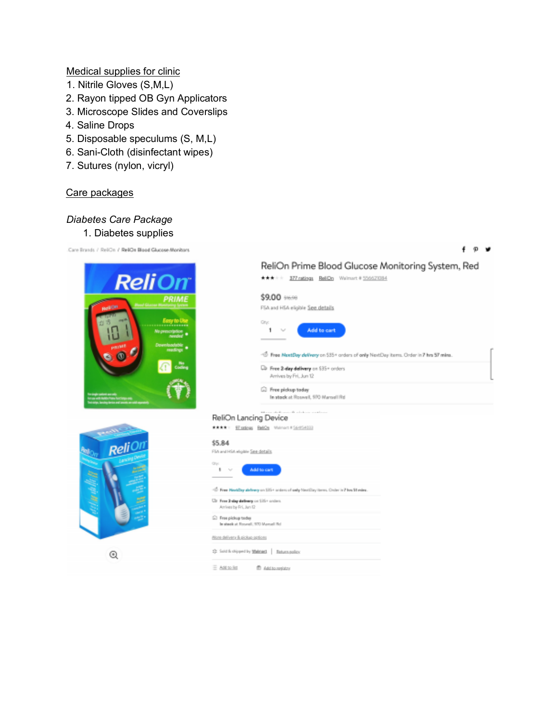Medical supplies for clinic

- 1. Nitrile Gloves (S,M,L)
- 2. Rayon tipped OB Gyn Applicators
- 3. Microscope Slides and Coverslips
- 4. Saline Drops
- 5. Disposable speculums (S, M,L)
- 6. Sani-Cloth (disinfectant wipes)
- 7. Sutures (nylon, vicryl)

#### Care packages

### *Diabetes Care Package*

1. Diabetes supplies

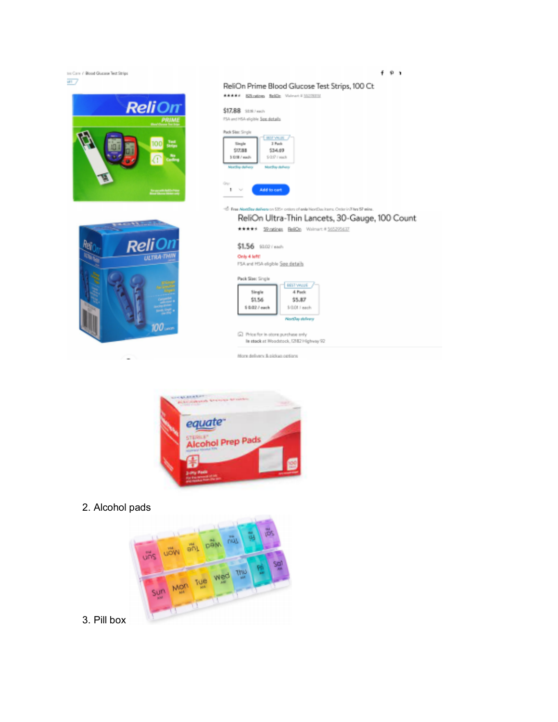



2. Alcohol pads



3. Pill box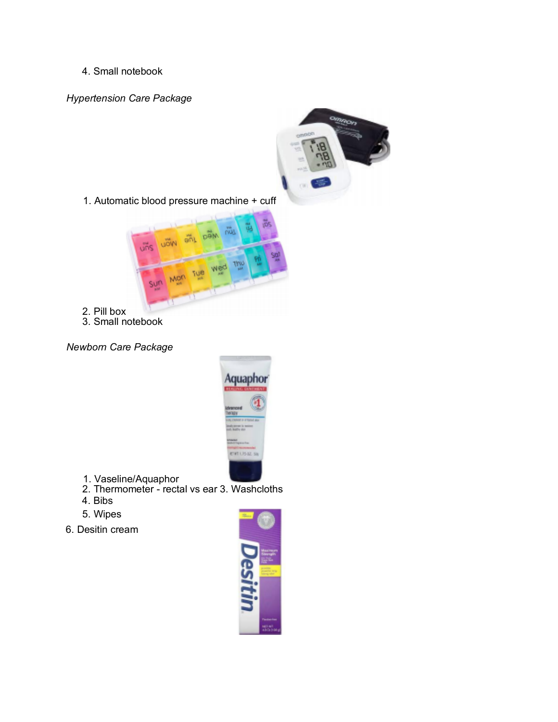4. Small notebook

*Hypertension Care Package*



3. Small notebook

*Newborn Care Package*



- 1. Vaseline/Aquaphor
- 2. Thermometer rectal vs ear 3. Washcloths
- 4. Bibs
- 5. Wipes
- 6. Desitin cream